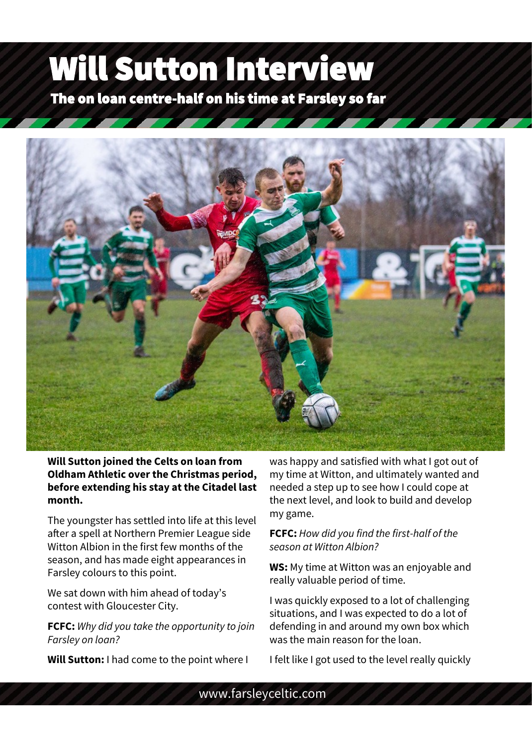## Will Sutton Interview

The on loan centre-half on his time at Farsley so far



**Will Sutton joined the Celts on loan from Oldham Athletic over the Christmas period, before extending his stay at the Citadel last month.**

The youngster has settled into life at this level after a spell at Northern Premier League side Witton Albion in the first few months of the season, and has made eight appearances in Farsley colours to this point.

**Teams:**  contest with Gloucester City. We sat down with him ahead of today's

**FCFC:** *Why did you take the opportunity to join Farsley on loan?*

**Will Sutton:** I had come to the point where I

was happy and satisfied with what I got out of my time at Witton, and ultimately wanted and needed a step up to see how I could cope at the next level, and look to build and develop my game.

## **FCFC:** *How did you find the first-half of the season at Witton Albion?*

**WS:** My time at Witton was an enjoyable and really valuable period of time.

I was quickly exposed to a lot of challenging situations, and I was expected to do a lot of defending in and around my own box which was the main reason for the loan.

I felt like I got used to the level really quickly

www.farsleyceltic.com